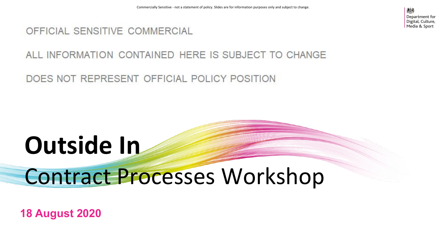#### OFFICIAL SENSITIVE COMMERCIAL

#### ALL INFORMATION CONTAINED HERE IS SUBJECT TO CHANGE

DOES NOT REPRESENT OFFICIAL POLICY POSITION

# **Outside In**

## Contract Processes Workshop

**18 August 2020**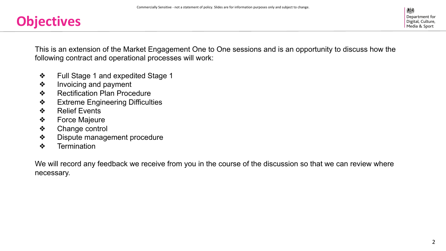### **Objectives**

This is an extension of the Market Engagement One to One sessions and is an opportunity to discuss how the following contract and operational processes will work:

- ❖ Full Stage 1 and expedited Stage 1
- ❖ Invoicing and payment
- ❖ Rectification Plan Procedure
- ❖ Extreme Engineering Difficulties
- ❖ Relief Events
- ❖ Force Majeure
- ❖ Change control
- ❖ Dispute management procedure
- ❖ Termination

We will record any feedback we receive from you in the course of the discussion so that we can review where necessary.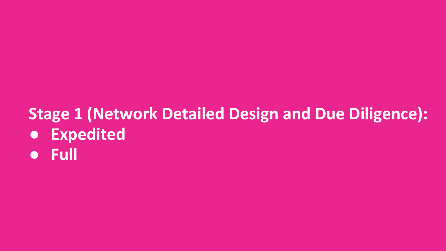## **Stage 1 (Network Detailed Design and Due Diligence): ● Expedited**

**● Full**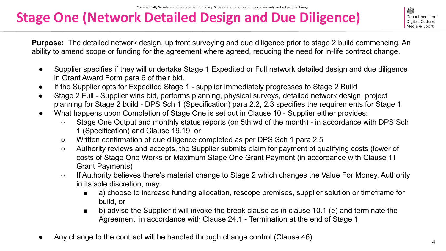### **Stage One (Network Detailed Design and Due Diligence)**

Department for Digital, Culture. Media & Sport

**Purpose:** The detailed network design, up front surveying and due diligence prior to stage 2 build commencing. An ability to amend scope or funding for the agreement where agreed, reducing the need for in-life contract change.

- Supplier specifies if they will undertake Stage 1 Expedited or Full network detailed design and due diligence in Grant Award Form para 6 of their bid.
- If the Supplier opts for Expedited Stage 1 supplier immediately progresses to Stage 2 Build
- Stage 2 Full Supplier wins bid, performs planning, physical surveys, detailed network design, project planning for Stage 2 build - DPS Sch 1 (Specification) para 2.2, 2.3 specifies the requirements for Stage 1
- What happens upon Completion of Stage One is set out in Clause 10 Supplier either provides:
	- Stage One Output and monthly status reports (on 5th wd of the month) in accordance with DPS Sch 1 (Specification) and Clause 19.19, or
	- Written confirmation of due diligence completed as per DPS Sch 1 para 2.5
	- Authority reviews and accepts, the Supplier submits claim for payment of qualifying costs (lower of costs of Stage One Works or Maximum Stage One Grant Payment (in accordance with Clause 11 Grant Payments)
	- If Authority believes there's material change to Stage 2 which changes the Value For Money, Authority in its sole discretion, may:
		- a) choose to increase funding allocation, rescope premises, supplier solution or timeframe for build, or
		- b) advise the Supplier it will invoke the break clause as in clause 10.1 (e) and terminate the Agreement in accordance with Clause 24.1 - Termination at the end of Stage 1
- Any change to the contract will be handled through change control (Clause 46)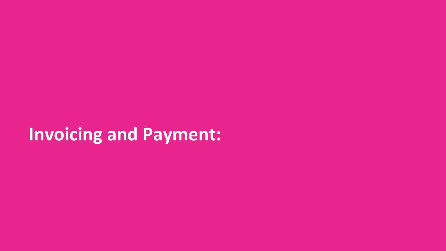## **Invoicing and Payment:**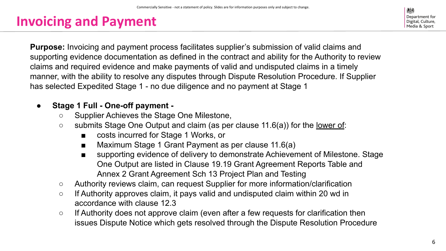### **Invoicing and Payment**

糖 Department for Digital, Culture. Media & Sport

**Purpose:** Invoicing and payment process facilitates supplier's submission of valid claims and supporting evidence documentation as defined in the contract and ability for the Authority to review claims and required evidence and make payments of valid and undisputed claims in a timely manner, with the ability to resolve any disputes through Dispute Resolution Procedure. If Supplier has selected Expedited Stage 1 - no due diligence and no payment at Stage 1

#### **● Stage 1 Full - One-off payment -**

- Supplier Achieves the Stage One Milestone,
- submits Stage One Output and claim (as per clause 11.6(a)) for the <u>lower of</u>:
	- costs incurred for Stage 1 Works, or
	- Maximum Stage 1 Grant Payment as per clause 11.6(a)
	- supporting evidence of delivery to demonstrate Achievement of Milestone. Stage One Output are listed in Clause 19.19 Grant Agreement Reports Table and Annex 2 Grant Agreement Sch 13 Project Plan and Testing
- Authority reviews claim, can request Supplier for more information/clarification
- If Authority approves claim, it pays valid and undisputed claim within 20 wd in accordance with clause 12.3
- If Authority does not approve claim (even after a few requests for clarification then issues Dispute Notice which gets resolved through the Dispute Resolution Procedure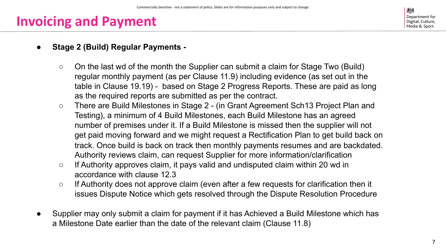### **Invoicing and Payment**

糖 Department for Digital, Culture. Media & Sport

#### **● Stage 2 (Build) Regular Payments -**

- On the last wd of the month the Supplier can submit a claim for Stage Two (Build) regular monthly payment (as per Clause 11.9) including evidence (as set out in the table in Clause 19.19) - based on Stage 2 Progress Reports. These are paid as long as the required reports are submitted as per the contract.
- There are Build Milestones in Stage 2 (in Grant Agreement Sch13 Project Plan and Testing), a minimum of 4 Build Milestones, each Build Milestone has an agreed number of premises under it. If a Build Milestone is missed then the supplier will not get paid moving forward and we might request a Rectification Plan to get build back on track. Once build is back on track then monthly payments resumes and are backdated. Authority reviews claim, can request Supplier for more information/clarification
- If Authority approves claim, it pays valid and undisputed claim within 20 wd in accordance with clause 12.3
- If Authority does not approve claim (even after a few requests for clarification then it issues Dispute Notice which gets resolved through the Dispute Resolution Procedure
- Supplier may only submit a claim for payment if it has Achieved a Build Milestone which has a Milestone Date earlier than the date of the relevant claim (Clause 11.8)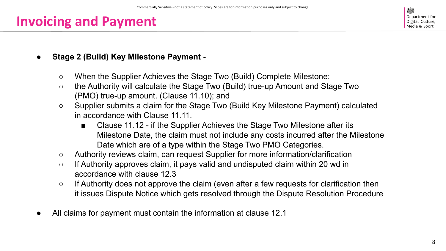### **Invoicing and Payment**

- **● Stage 2 (Build) Key Milestone Payment -**
	- When the Supplier Achieves the Stage Two (Build) Complete Milestone:
	- the Authority will calculate the Stage Two (Build) true-up Amount and Stage Two (PMO) true-up amount. (Clause 11.10); and
	- Supplier submits a claim for the Stage Two (Build Key Milestone Payment) calculated in accordance with Clause 11.11.
		- Clause 11.12 if the Supplier Achieves the Stage Two Milestone after its Milestone Date, the claim must not include any costs incurred after the Milestone Date which are of a type within the Stage Two PMO Categories.
	- Authority reviews claim, can request Supplier for more information/clarification
	- If Authority approves claim, it pays valid and undisputed claim within 20 wd in accordance with clause 12.3
	- If Authority does not approve the claim (even after a few requests for clarification then it issues Dispute Notice which gets resolved through the Dispute Resolution Procedure
- All claims for payment must contain the information at clause 12.1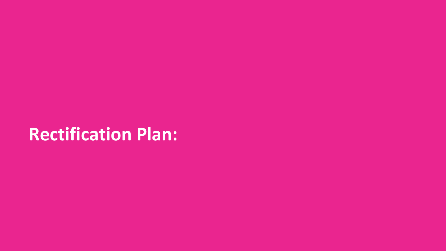## **Rectification Plan:**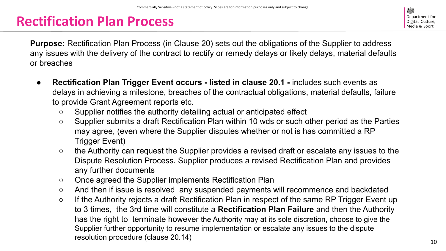### **Rectification Plan Process**

糖 Department for Digital, Culture. Media & Sport

**Purpose:** Rectification Plan Process (in Clause 20) sets out the obligations of the Supplier to address any issues with the delivery of the contract to rectify or remedy delays or likely delays, material defaults or breaches

- **Rectification Plan Trigger Event occurs listed in clause 20.1 includes such events as** delays in achieving a milestone, breaches of the contractual obligations, material defaults, failure to provide Grant Agreement reports etc.
	- Supplier notifies the authority detailing actual or anticipated effect
	- Supplier submits a draft Rectification Plan within 10 wds or such other period as the Parties may agree, (even where the Supplier disputes whether or not is has committed a RP Trigger Event)
	- the Authority can request the Supplier provides a revised draft or escalate any issues to the Dispute Resolution Process. Supplier produces a revised Rectification Plan and provides any further documents
	- Once agreed the Supplier implements Rectification Plan
	- And then if issue is resolved any suspended payments will recommence and backdated
	- If the Authority rejects a draft Rectification Plan in respect of the same RP Trigger Event up to 3 times, the 3rd time will constitute a **Rectification Plan Failure** and then the Authority has the right to terminate however the Authority may at its sole discretion, choose to give the Supplier further opportunity to resume implementation or escalate any issues to the dispute resolution procedure (clause 20.14)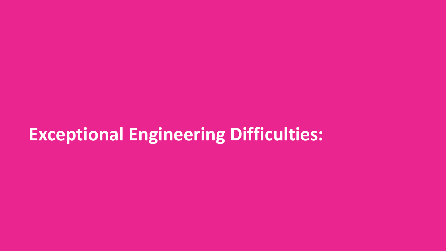## **Exceptional Engineering Difficulties:**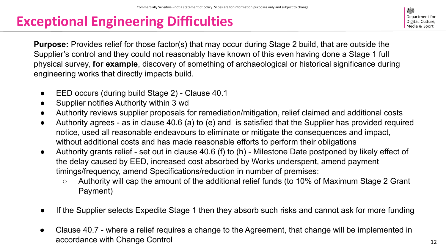### **Exceptional Engineering Difficulties**

糖 Department for Digital, Culture. Media & Sport

**Purpose:** Provides relief for those factor(s) that may occur during Stage 2 build, that are outside the Supplier's control and they could not reasonably have known of this even having done a Stage 1 full physical survey, **for example**, discovery of something of archaeological or historical significance during engineering works that directly impacts build.

- EED occurs (during build Stage 2) Clause 40.1
- Supplier notifies Authority within 3 wd
- Authority reviews supplier proposals for remediation/mitigation, relief claimed and additional costs
- Authority agrees as in clause 40.6 (a) to (e) and is satisfied that the Supplier has provided required notice, used all reasonable endeavours to eliminate or mitigate the consequences and impact, without additional costs and has made reasonable efforts to perform their obligations
- Authority grants relief set out in clause 40.6 (f) to (h) Milestone Date postponed by likely effect of the delay caused by EED, increased cost absorbed by Works underspent, amend payment timings/frequency, amend Specifications/reduction in number of premises:
	- Authority will cap the amount of the additional relief funds (to 10% of Maximum Stage 2 Grant Payment)
- If the Supplier selects Expedite Stage 1 then they absorb such risks and cannot ask for more funding
- Clause 40.7 where a relief requires a change to the Agreement, that change will be implemented in accordance with Change Control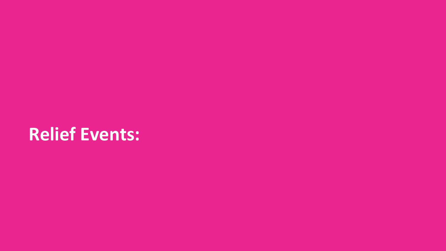## **Relief Events:**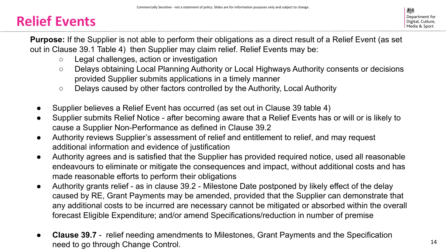### **Relief Events**

**Purpose:** If the Supplier is not able to perform their obligations as a direct result of a Relief Event (as set out in Clause 39.1 Table 4) then Supplier may claim relief. Relief Events may be:

- Legal challenges, action or investigation
- Delays obtaining Local Planning Authority or Local Highways Authority consents or decisions provided Supplier submits applications in a timely manner
- Delays caused by other factors controlled by the Authority, Local Authority
- Supplier believes a Relief Event has occurred (as set out in Clause 39 table 4)
- Supplier submits Relief Notice after becoming aware that a Relief Events has or will or is likely to cause a Supplier Non-Performance as defined in Clause 39.2
- Authority reviews Supplier's assessment of relief and entitlement to relief, and may request additional information and evidence of justification
- Authority agrees and is satisfied that the Supplier has provided required notice, used all reasonable endeavours to eliminate or mitigate the consequences and impact, without additional costs and has made reasonable efforts to perform their obligations
- Authority grants relief as in clause 39.2 Milestone Date postponed by likely effect of the delay caused by RE, Grant Payments may be amended, provided that the Supplier can demonstrate that any additional costs to be incurred are necessary cannot be mitigated or absorbed within the overall forecast Eligible Expenditure; and/or amend Specifications/reduction in number of premise
- **● Clause 39.7** relief needing amendments to Milestones, Grant Payments and the Specification need to go through Change Control.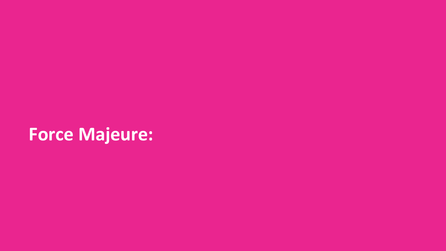## **Force Majeure:**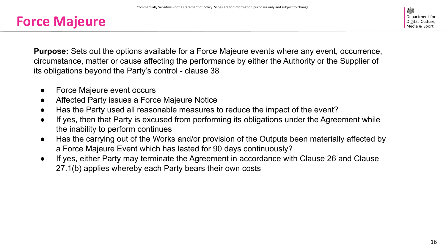#### **Force Majeure**

**Purpose:** Sets out the options available for a Force Majeure events where any event, occurrence, circumstance, matter or cause affecting the performance by either the Authority or the Supplier of its obligations beyond the Party's control - clause 38

- Force Majeure event occurs
- Affected Party issues a Force Majeure Notice
- Has the Party used all reasonable measures to reduce the impact of the event?
- If yes, then that Party is excused from performing its obligations under the Agreement while the inability to perform continues
- Has the carrying out of the Works and/or provision of the Outputs been materially affected by a Force Majeure Event which has lasted for 90 days continuously?
- If yes, either Party may terminate the Agreement in accordance with Clause 26 and Clause 27.1(b) applies whereby each Party bears their own costs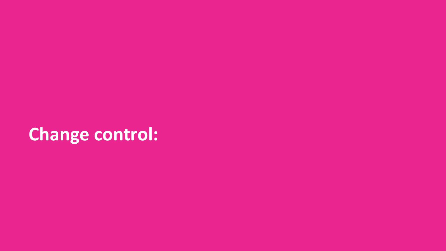## **Change control:**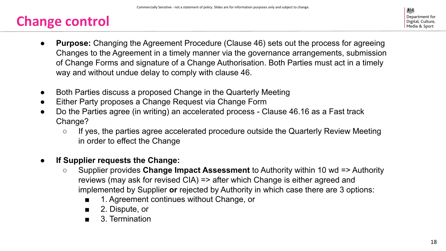### **Change control**

- **Purpose:** Changing the Agreement Procedure (Clause 46) sets out the process for agreeing Changes to the Agreement in a timely manner via the governance arrangements, submission of Change Forms and signature of a Change Authorisation. Both Parties must act in a timely way and without undue delay to comply with clause 46.
- Both Parties discuss a proposed Change in the Quarterly Meeting
- Either Party proposes a Change Request via Change Form
- Do the Parties agree (in writing) an accelerated process Clause 46.16 as a Fast track Change?
	- If yes, the parties agree accelerated procedure outside the Quarterly Review Meeting in order to effect the Change
- **● If Supplier requests the Change:**
	- Supplier provides **Change Impact Assessment** to Authority within 10 wd => Authority reviews (may ask for revised CIA) => after which Change is either agreed and implemented by Supplier **or** rejected by Authority in which case there are 3 options:
		- 1. Agreement continues without Change, or
		- 2. Dispute, or
		- 3. Termination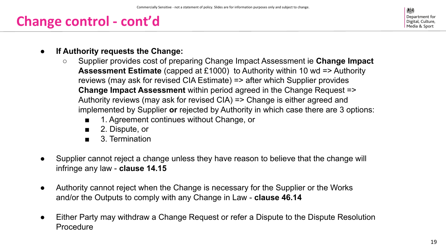### **Change control - cont'd**

Department for Digital, Culture. Media & Sport

- **● If Authority requests the Change:**
	- Supplier provides cost of preparing Change Impact Assessment ie **Change Impact Assessment Estimate** (capped at £1000) to Authority within 10 wd => Authority reviews (may ask for revised CIA Estimate) => after which Supplier provides **Change Impact Assessment** within period agreed in the Change Request => Authority reviews (may ask for revised CIA) => Change is either agreed and implemented by Supplier **or** rejected by Authority in which case there are 3 options:
		- 1. Agreement continues without Change, or
		- 2. Dispute, or
		- 3. Termination
- Supplier cannot reject a change unless they have reason to believe that the change will infringe any law - **clause 14.15**
- Authority cannot reject when the Change is necessary for the Supplier or the Works and/or the Outputs to comply with any Change in Law - **clause 46.14**
- Either Party may withdraw a Change Request or refer a Dispute to the Dispute Resolution Procedure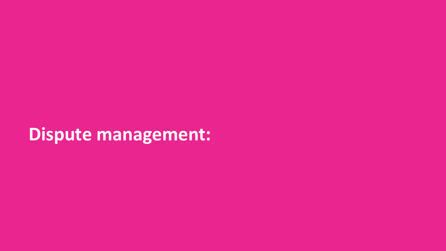## **Dispute management:**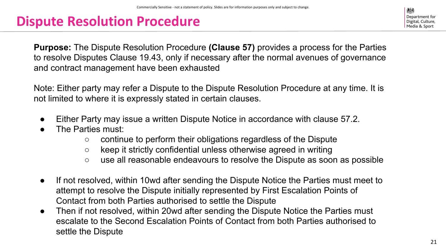### **Dispute Resolution Procedure**

Department for Digital, Culture. Media & Sport

**Purpose:** The Dispute Resolution Procedure **(Clause 57)** provides a process for the Parties to resolve Disputes Clause 19.43, only if necessary after the normal avenues of governance and contract management have been exhausted

Note: Either party may refer a Dispute to the Dispute Resolution Procedure at any time. It is not limited to where it is expressly stated in certain clauses.

- Either Party may issue a written Dispute Notice in accordance with clause 57.2.
- The Parties must:
	- continue to perform their obligations regardless of the Dispute
	- keep it strictly confidential unless otherwise agreed in writing
	- use all reasonable endeavours to resolve the Dispute as soon as possible
- If not resolved, within 10wd after sending the Dispute Notice the Parties must meet to attempt to resolve the Dispute initially represented by First Escalation Points of Contact from both Parties authorised to settle the Dispute
- Then if not resolved, within 20wd after sending the Dispute Notice the Parties must escalate to the Second Escalation Points of Contact from both Parties authorised to settle the Dispute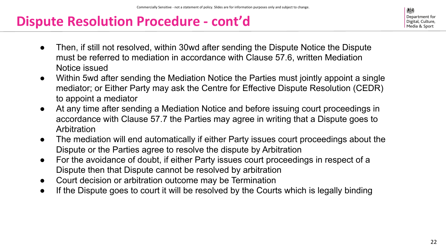### **Dispute Resolution Procedure - cont'd**

- Then, if still not resolved, within 30wd after sending the Dispute Notice the Dispute must be referred to mediation in accordance with Clause 57.6, written Mediation Notice issued
- Within 5wd after sending the Mediation Notice the Parties must jointly appoint a single mediator; or Either Party may ask the Centre for Effective Dispute Resolution (CEDR) to appoint a mediator
- At any time after sending a Mediation Notice and before issuing court proceedings in accordance with Clause 57.7 the Parties may agree in writing that a Dispute goes to Arbitration
- The mediation will end automatically if either Party issues court proceedings about the Dispute or the Parties agree to resolve the dispute by Arbitration
- For the avoidance of doubt, if either Party issues court proceedings in respect of a Dispute then that Dispute cannot be resolved by arbitration
- Court decision or arbitration outcome may be Termination
- If the Dispute goes to court it will be resolved by the Courts which is legally binding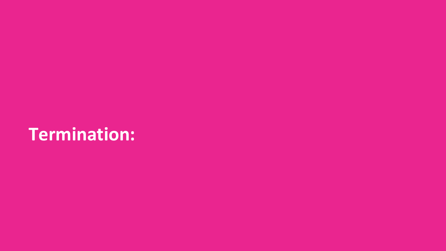## **Termination:**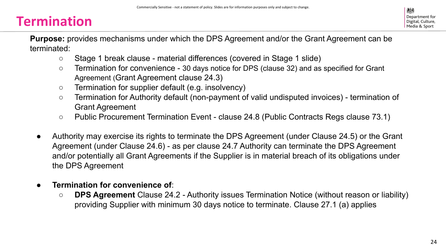### **Termination**

**Purpose:** provides mechanisms under which the DPS Agreement and/or the Grant Agreement can be terminated:

- Stage 1 break clause material differences (covered in Stage 1 slide)
- Termination for convenience 30 days notice for DPS (clause 32) and as specified for Grant Agreement (Grant Agreement clause 24.3)
- Termination for supplier default (e.g. insolvency)
- Termination for Authority default (non-payment of valid undisputed invoices) termination of Grant Agreement
- Public Procurement Termination Event clause 24.8 (Public Contracts Regs clause 73.1)
- Authority may exercise its rights to terminate the DPS Agreement (under Clause 24.5) or the Grant Agreement (under Clause 24.6) - as per clause 24.7 Authority can terminate the DPS Agreement and/or potentially all Grant Agreements if the Supplier is in material breach of its obligations under the DPS Agreement
- **Termination for convenience of:** 
	- **○ DPS Agreement** Clause 24.2 Authority issues Termination Notice (without reason or liability) providing Supplier with minimum 30 days notice to terminate. Clause 27.1 (a) applies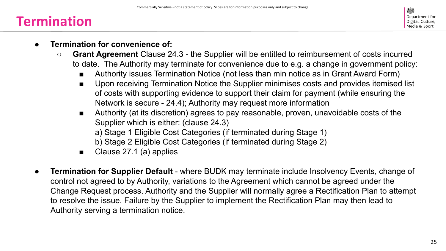#### **Termination**

- **● Termination for convenience of:**
	- **○ Grant Agreement** Clause 24.3 the Supplier will be entitled to reimbursement of costs incurred to date. The Authority may terminate for convenience due to e.g. a change in government policy:
		- Authority issues Termination Notice (not less than min notice as in Grant Award Form)
		- Upon receiving Termination Notice the Supplier minimises costs and provides itemised list of costs with supporting evidence to support their claim for payment (while ensuring the Network is secure - 24.4); Authority may request more information
		- Authority (at its discretion) agrees to pay reasonable, proven, unavoidable costs of the Supplier which is either: (clause 24.3)
			- a) Stage 1 Eligible Cost Categories (if terminated during Stage 1)
			- b) Stage 2 Eligible Cost Categories (if terminated during Stage 2)
		- Clause 27.1 (a) applies
- **Termination for Supplier Default** where BUDK may terminate include Insolvency Events, change of control not agreed to by Authority, variations to the Agreement which cannot be agreed under the Change Request process. Authority and the Supplier will normally agree a Rectification Plan to attempt to resolve the issue. Failure by the Supplier to implement the Rectification Plan may then lead to Authority serving a termination notice.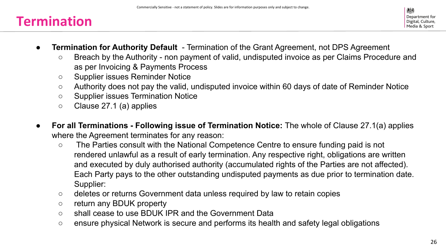#### **Termination**

- **Termination for Authority Default** Termination of the Grant Agreement, not DPS Agreement
	- Breach by the Authority non payment of valid, undisputed invoice as per Claims Procedure and as per Invoicing & Payments Process
	- Supplier issues Reminder Notice
	- Authority does not pay the valid, undisputed invoice within 60 days of date of Reminder Notice
	- Supplier issues Termination Notice
	- Clause 27.1 (a) applies
- **● For all Terminations Following issue of Termination Notice:** The whole of Clause 27.1(a) applies where the Agreement terminates for any reason:
	- The Parties consult with the National Competence Centre to ensure funding paid is not rendered unlawful as a result of early termination. Any respective right, obligations are written and executed by duly authorised authority (accumulated rights of the Parties are not affected). Each Party pays to the other outstanding undisputed payments as due prior to termination date. Supplier:
	- deletes or returns Government data unless required by law to retain copies
	- return any BDUK property
	- shall cease to use BDUK IPR and the Government Data
	- ensure physical Network is secure and performs its health and safety legal obligations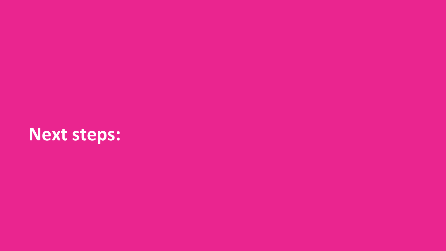## **Next steps:**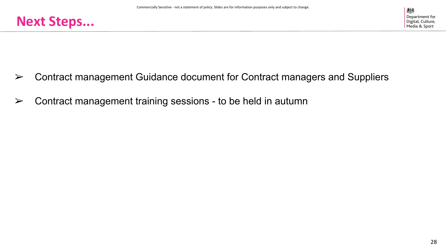

- $\triangleright$  Contract management Guidance document for Contract managers and Suppliers
- $\triangleright$  Contract management training sessions to be held in autumn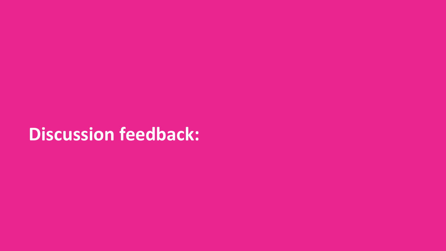## **Discussion feedback:**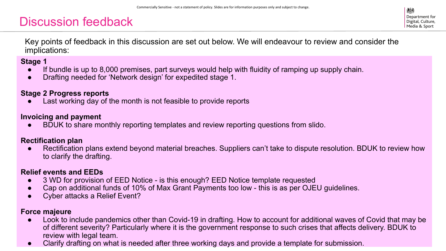#### Discussion feedback

Key points of feedback in this discussion are set out below. We will endeavour to review and consider the implications:

#### **Stage 1**

- If bundle is up to 8,000 premises, part surveys would help with fluidity of ramping up supply chain.
- Drafting needed for 'Network design' for expedited stage 1.

#### **Stage 2 Progress reports**

Last working day of the month is not feasible to provide reports

#### **Invoicing and payment**

BDUK to share monthly reporting templates and review reporting questions from slido.

#### **Rectification plan**

Rectification plans extend beyond material breaches. Suppliers can't take to dispute resolution. BDUK to review how to clarify the drafting.

#### **Relief events and EEDs**

- 3 WD for provision of EED Notice is this enough? EED Notice template requested
- Cap on additional funds of 10% of Max Grant Payments too low this is as per OJEU guidelines.
- **Cyber attacks a Relief Event?**

#### **Force majeure**

- Look to include pandemics other than Covid-19 in drafting. How to account for additional waves of Covid that may be of different severity? Particularly where it is the government response to such crises that affects delivery. BDUK to review with legal team.
- Clarify drafting on what is needed after three working days and provide a template for submission.